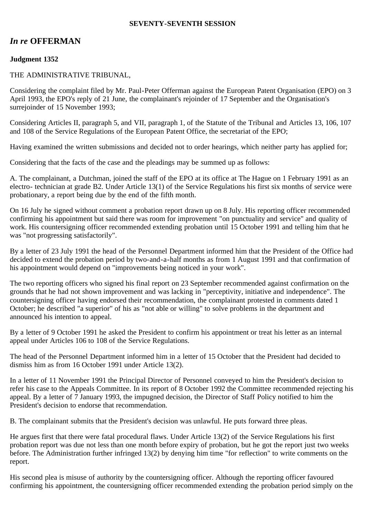#### **SEVENTY-SEVENTH SESSION**

# *In re* **OFFERMAN**

# **Judgment 1352**

### THE ADMINISTRATIVE TRIBUNAL,

Considering the complaint filed by Mr. Paul-Peter Offerman against the European Patent Organisation (EPO) on 3 April 1993, the EPO's reply of 21 June, the complainant's rejoinder of 17 September and the Organisation's surrejoinder of 15 November 1993;

Considering Articles II, paragraph 5, and VII, paragraph 1, of the Statute of the Tribunal and Articles 13, 106, 107 and 108 of the Service Regulations of the European Patent Office, the secretariat of the EPO;

Having examined the written submissions and decided not to order hearings, which neither party has applied for;

Considering that the facts of the case and the pleadings may be summed up as follows:

A. The complainant, a Dutchman, joined the staff of the EPO at its office at The Hague on 1 February 1991 as an electro- technician at grade B2. Under Article 13(1) of the Service Regulations his first six months of service were probationary, a report being due by the end of the fifth month.

On 16 July he signed without comment a probation report drawn up on 8 July. His reporting officer recommended confirming his appointment but said there was room for improvement "on punctuality and service" and quality of work. His countersigning officer recommended extending probation until 15 October 1991 and telling him that he was "not progressing satisfactorily".

By a letter of 23 July 1991 the head of the Personnel Department informed him that the President of the Office had decided to extend the probation period by two-and-a-half months as from 1 August 1991 and that confirmation of his appointment would depend on "improvements being noticed in your work".

The two reporting officers who signed his final report on 23 September recommended against confirmation on the grounds that he had not shown improvement and was lacking in "perceptivity, initiative and independence". The countersigning officer having endorsed their recommendation, the complainant protested in comments dated 1 October; he described "a superior" of his as "not able or willing" to solve problems in the department and announced his intention to appeal.

By a letter of 9 October 1991 he asked the President to confirm his appointment or treat his letter as an internal appeal under Articles 106 to 108 of the Service Regulations.

The head of the Personnel Department informed him in a letter of 15 October that the President had decided to dismiss him as from 16 October 1991 under Article 13(2).

In a letter of 11 November 1991 the Principal Director of Personnel conveyed to him the President's decision to refer his case to the Appeals Committee. In its report of 8 October 1992 the Committee recommended rejecting his appeal. By a letter of 7 January 1993, the impugned decision, the Director of Staff Policy notified to him the President's decision to endorse that recommendation.

B. The complainant submits that the President's decision was unlawful. He puts forward three pleas.

He argues first that there were fatal procedural flaws. Under Article 13(2) of the Service Regulations his first probation report was due not less than one month before expiry of probation, but he got the report just two weeks before. The Administration further infringed 13(2) by denying him time "for reflection" to write comments on the report.

His second plea is misuse of authority by the countersigning officer. Although the reporting officer favoured confirming his appointment, the countersigning officer recommended extending the probation period simply on the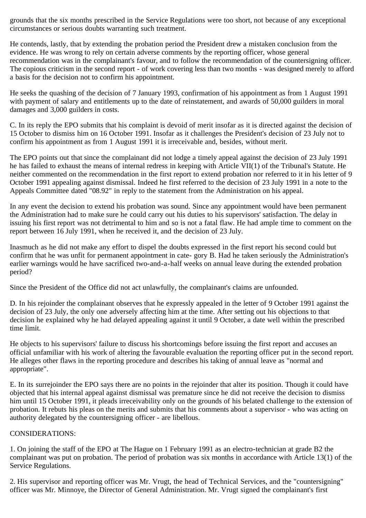grounds that the six months prescribed in the Service Regulations were too short, not because of any exceptional circumstances or serious doubts warranting such treatment.

He contends, lastly, that by extending the probation period the President drew a mistaken conclusion from the evidence. He was wrong to rely on certain adverse comments by the reporting officer, whose general recommendation was in the complainant's favour, and to follow the recommendation of the countersigning officer. The copious criticism in the second report - of work covering less than two months - was designed merely to afford a basis for the decision not to confirm his appointment.

He seeks the quashing of the decision of 7 January 1993, confirmation of his appointment as from 1 August 1991 with payment of salary and entitlements up to the date of reinstatement, and awards of 50,000 guilders in moral damages and 3,000 guilders in costs.

C. In its reply the EPO submits that his complaint is devoid of merit insofar as it is directed against the decision of 15 October to dismiss him on 16 October 1991. Insofar as it challenges the President's decision of 23 July not to confirm his appointment as from 1 August 1991 it is irreceivable and, besides, without merit.

The EPO points out that since the complainant did not lodge a timely appeal against the decision of 23 July 1991 he has failed to exhaust the means of internal redress in keeping with Article VII(1) of the Tribunal's Statute. He neither commented on the recommendation in the first report to extend probation nor referred to it in his letter of 9 October 1991 appealing against dismissal. Indeed he first referred to the decision of 23 July 1991 in a note to the Appeals Committee dated "08.92" in reply to the statement from the Administration on his appeal.

In any event the decision to extend his probation was sound. Since any appointment would have been permanent the Administration had to make sure he could carry out his duties to his supervisors' satisfaction. The delay in issuing his first report was not detrimental to him and so is not a fatal flaw. He had ample time to comment on the report between 16 July 1991, when he received it, and the decision of 23 July.

Inasmuch as he did not make any effort to dispel the doubts expressed in the first report his second could but confirm that he was unfit for permanent appointment in cate- gory B. Had he taken seriously the Administration's earlier warnings would he have sacrificed two-and-a-half weeks on annual leave during the extended probation period?

Since the President of the Office did not act unlawfully, the complainant's claims are unfounded.

D. In his rejoinder the complainant observes that he expressly appealed in the letter of 9 October 1991 against the decision of 23 July, the only one adversely affecting him at the time. After setting out his objections to that decision he explained why he had delayed appealing against it until 9 October, a date well within the prescribed time limit.

He objects to his supervisors' failure to discuss his shortcomings before issuing the first report and accuses an official unfamiliar with his work of altering the favourable evaluation the reporting officer put in the second report. He alleges other flaws in the reporting procedure and describes his taking of annual leave as "normal and appropriate".

E. In its surrejoinder the EPO says there are no points in the rejoinder that alter its position. Though it could have objected that his internal appeal against dismissal was premature since he did not receive the decision to dismiss him until 15 October 1991, it pleads irreceivability only on the grounds of his belated challenge to the extension of probation. It rebuts his pleas on the merits and submits that his comments about a supervisor - who was acting on authority delegated by the countersigning officer - are libellous.

#### CONSIDERATIONS:

1. On joining the staff of the EPO at The Hague on 1 February 1991 as an electro-technician at grade B2 the complainant was put on probation. The period of probation was six months in accordance with Article 13(1) of the Service Regulations.

2. His supervisor and reporting officer was Mr. Vrugt, the head of Technical Services, and the "countersigning" officer was Mr. Minnoye, the Director of General Administration. Mr. Vrugt signed the complainant's first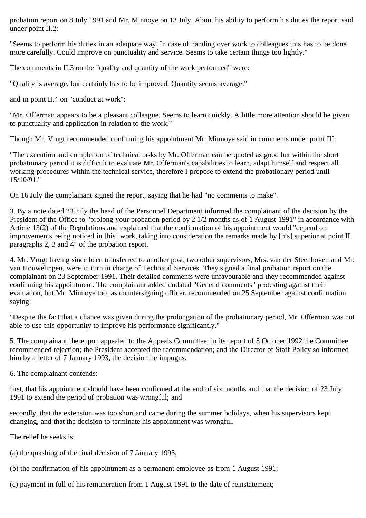probation report on 8 July 1991 and Mr. Minnoye on 13 July. About his ability to perform his duties the report said under point II.2:

"Seems to perform his duties in an adequate way. In case of handing over work to colleagues this has to be done more carefully. Could improve on punctuality and service. Seems to take certain things too lightly."

The comments in II.3 on the "quality and quantity of the work performed" were:

"Quality is average, but certainly has to be improved. Quantity seems average."

and in point II.4 on "conduct at work":

"Mr. Offerman appears to be a pleasant colleague. Seems to learn quickly. A little more attention should be given to punctuality and application in relation to the work."

Though Mr. Vrugt recommended confirming his appointment Mr. Minnoye said in comments under point III:

"The execution and completion of technical tasks by Mr. Offerman can be quoted as good but within the short probationary period it is difficult to evaluate Mr. Offerman's capabilities to learn, adapt himself and respect all working procedures within the technical service, therefore I propose to extend the probationary period until 15/10/91."

On 16 July the complainant signed the report, saying that he had "no comments to make".

3. By a note dated 23 July the head of the Personnel Department informed the complainant of the decision by the President of the Office to "prolong your probation period by 2 1/2 months as of 1 August 1991" in accordance with Article 13(2) of the Regulations and explained that the confirmation of his appointment would "depend on improvements being noticed in [his] work, taking into consideration the remarks made by [his] superior at point II, paragraphs 2, 3 and 4" of the probation report.

4. Mr. Vrugt having since been transferred to another post, two other supervisors, Mrs. van der Steenhoven and Mr. van Houwelingen, were in turn in charge of Technical Services. They signed a final probation report on the complainant on 23 September 1991. Their detailed comments were unfavourable and they recommended against confirming his appointment. The complainant added undated "General comments" protesting against their evaluation, but Mr. Minnoye too, as countersigning officer, recommended on 25 September against confirmation saying:

"Despite the fact that a chance was given during the prolongation of the probationary period, Mr. Offerman was not able to use this opportunity to improve his performance significantly."

5. The complainant thereupon appealed to the Appeals Committee; in its report of 8 October 1992 the Committee recommended rejection; the President accepted the recommendation; and the Director of Staff Policy so informed him by a letter of 7 January 1993, the decision he impugns.

6. The complainant contends:

first, that his appointment should have been confirmed at the end of six months and that the decision of 23 July 1991 to extend the period of probation was wrongful; and

secondly, that the extension was too short and came during the summer holidays, when his supervisors kept changing, and that the decision to terminate his appointment was wrongful.

The relief he seeks is:

- (a) the quashing of the final decision of 7 January 1993;
- (b) the confirmation of his appointment as a permanent employee as from 1 August 1991;
- (c) payment in full of his remuneration from 1 August 1991 to the date of reinstatement;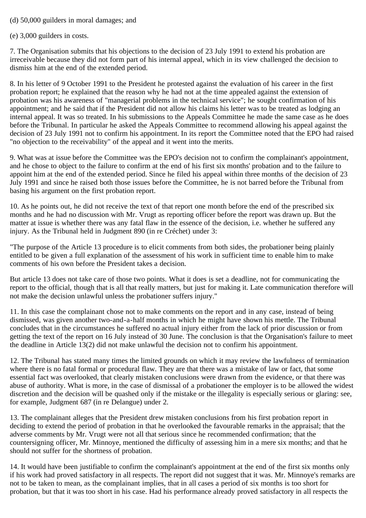## (d) 50,000 guilders in moral damages; and

(e) 3,000 guilders in costs.

7. The Organisation submits that his objections to the decision of 23 July 1991 to extend his probation are irreceivable because they did not form part of his internal appeal, which in its view challenged the decision to dismiss him at the end of the extended period.

8. In his letter of 9 October 1991 to the President he protested against the evaluation of his career in the first probation report; he explained that the reason why he had not at the time appealed against the extension of probation was his awareness of "managerial problems in the technical service"; he sought confirmation of his appointment; and he said that if the President did not allow his claims his letter was to be treated as lodging an internal appeal. It was so treated. In his submissions to the Appeals Committee he made the same case as he does before the Tribunal. In particular he asked the Appeals Committee to recommend allowing his appeal against the decision of 23 July 1991 not to confirm his appointment. In its report the Committee noted that the EPO had raised "no objection to the receivability" of the appeal and it went into the merits.

9. What was at issue before the Committee was the EPO's decision not to confirm the complainant's appointment, and he chose to object to the failure to confirm at the end of his first six months' probation and to the failure to appoint him at the end of the extended period. Since he filed his appeal within three months of the decision of 23 July 1991 and since he raised both those issues before the Committee, he is not barred before the Tribunal from basing his argument on the first probation report.

10. As he points out, he did not receive the text of that report one month before the end of the prescribed six months and he had no discussion with Mr. Vrugt as reporting officer before the report was drawn up. But the matter at issue is whether there was any fatal flaw in the essence of the decision, i.e. whether he suffered any injury. As the Tribunal held in Judgment 890 (in re Créchet) under 3:

"The purpose of the Article 13 procedure is to elicit comments from both sides, the probationer being plainly entitled to be given a full explanation of the assessment of his work in sufficient time to enable him to make comments of his own before the President takes a decision.

But article 13 does not take care of those two points. What it does is set a deadline, not for communicating the report to the official, though that is all that really matters, but just for making it. Late communication therefore will not make the decision unlawful unless the probationer suffers injury."

11. In this case the complainant chose not to make comments on the report and in any case, instead of being dismissed, was given another two-and-a-half months in which he might have shown his mettle. The Tribunal concludes that in the circumstances he suffered no actual injury either from the lack of prior discussion or from getting the text of the report on 16 July instead of 30 June. The conclusion is that the Organisation's failure to meet the deadline in Article 13(2) did not make unlawful the decision not to confirm his appointment.

12. The Tribunal has stated many times the limited grounds on which it may review the lawfulness of termination where there is no fatal formal or procedural flaw. They are that there was a mistake of law or fact, that some essential fact was overlooked, that clearly mistaken conclusions were drawn from the evidence, or that there was abuse of authority. What is more, in the case of dismissal of a probationer the employer is to be allowed the widest discretion and the decision will be quashed only if the mistake or the illegality is especially serious or glaring: see, for example, Judgment 687 (in re Delangue) under 2.

13. The complainant alleges that the President drew mistaken conclusions from his first probation report in deciding to extend the period of probation in that he overlooked the favourable remarks in the appraisal; that the adverse comments by Mr. Vrugt were not all that serious since he recommended confirmation; that the countersigning officer, Mr. Minnoye, mentioned the difficulty of assessing him in a mere six months; and that he should not suffer for the shortness of probation.

14. It would have been justifiable to confirm the complainant's appointment at the end of the first six months only if his work had proved satisfactory in all respects. The report did not suggest that it was. Mr. Minnoye's remarks are not to be taken to mean, as the complainant implies, that in all cases a period of six months is too short for probation, but that it was too short in his case. Had his performance already proved satisfactory in all respects the